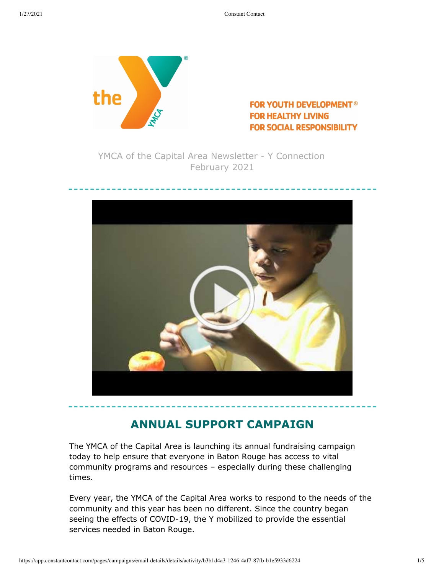

#### **FOR YOUTH DEVELOPMENT<sup>®</sup> FOR HEALTHY LIVING FOR SOCIAL RESPONSIBILITY**

YMCA of the Capital Area Newsletter - Y Connection February 2021



## **ANNUAL SUPPORT CAMPAIGN**

The YMCA of the Capital Area is launching its annual fundraising campaign today to help ensure that everyone in Baton Rouge has access to vital community programs and resources – especially during these challenging times.

Every year, the YMCA of the Capital Area works to respond to the needs of the community and this year has been no different. Since the country began seeing the effects of COVID-19, the Y mobilized to provide the essential services needed in Baton Rouge.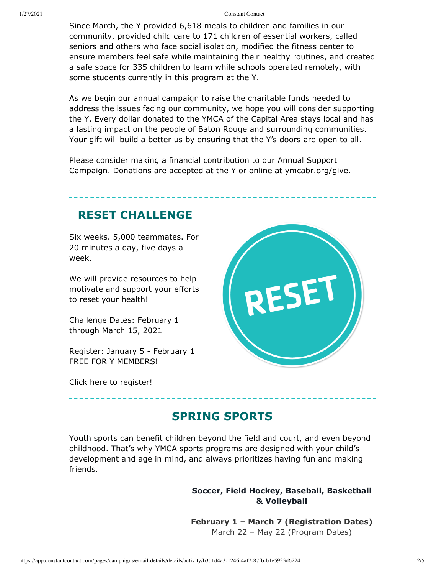Since March, the Y provided 6,618 meals to children and families in our community, provided child care to 171 children of essential workers, called seniors and others who face social isolation, modified the fitness center to ensure members feel safe while maintaining their healthy routines, and created a safe space for 335 children to learn while schools operated remotely, with some students currently in this program at the Y.

As we begin our annual campaign to raise the charitable funds needed to address the issues facing our community, we hope you will consider supporting the Y. Every dollar donated to the YMCA of the Capital Area stays local and has a lasting impact on the people of Baton Rouge and surrounding communities. Your gift will build a better us by ensuring that the Y's doors are open to all.

Please consider making a financial contribution to our Annual Support Campaign. Donations are accepted at the Y or online at [ymcabr.org/give.](http://ymcabr.org/give)

## **RESET CHALLENGE**

Six weeks. 5,000 teammates. For 20 minutes a day, five days a week.

We will provide resources to help motivate and support your efforts to reset your health!

Challenge Dates: February 1 through March 15, 2021

Register: January 5 - February 1 FREE FOR Y MEMBERS!

[Click here](http://ymcabr.org/programs/health-wellness/reset-challenge) to register!

## **SPRING SPORTS**

Youth sports can benefit children beyond the field and court, and even beyond childhood. That's why YMCA sports programs are designed with your child's development and age in mind, and always prioritizes having fun and making friends.

#### **Soccer, Field Hockey, Baseball, Basketball & Volleyball**

**February 1 – March 7 (Registration Dates)** March 22 – May 22 (Program Dates)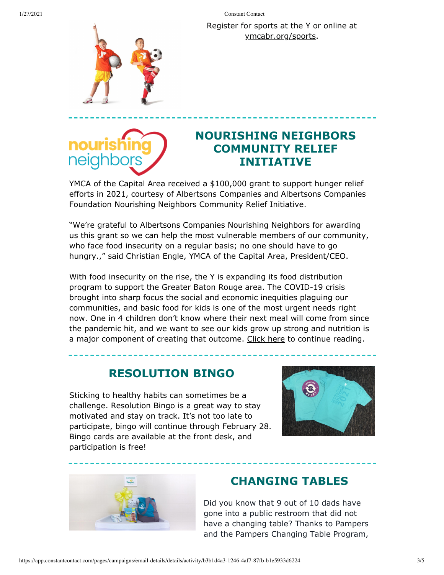Register for sports at the Y or online at [ymcabr.org/sports.](http://www.ymcabr.org/sports)





## **NOURISHING NEIGHBORS COMMUNITY RELIEF INITIATIVE**

YMCA of the Capital Area received a \$100,000 grant to support hunger relief efforts in 2021, courtesy of Albertsons Companies and Albertsons Companies Foundation Nourishing Neighbors Community Relief Initiative.

"We're grateful to Albertsons Companies Nourishing Neighbors for awarding us this grant so we can help the most vulnerable members of our community, who face food insecurity on a regular basis; no one should have to go hungry.," said Christian Engle, YMCA of the Capital Area, President/CEO.

With food insecurity on the rise, the Y is expanding its food distribution program to support the Greater Baton Rouge area. The COVID-19 crisis brought into sharp focus the social and economic inequities plaguing our communities, and basic food for kids is one of the most urgent needs right now. One in 4 children don't know where their next meal will come from since the pandemic hit, and we want to see our kids grow up strong and nutrition is a major component of creating that outcome. [Click here](http://ymcabr.org/news/2021/01/07/ymca-of-the-capital-area-receives-%24100-000-grant-from-albertsons-companies) to continue reading.

## **RESOLUTION BINGO**

Sticking to healthy habits can sometimes be a challenge. Resolution Bingo is a great way to stay motivated and stay on track. It's not too late to participate, bingo will continue through February 28. Bingo cards are available at the front desk, and participation is free!





## **CHANGING TABLES**

Did you know that 9 out of 10 dads have gone into a public restroom that did not have a changing table? Thanks to Pampers and the Pampers Changing Table Program,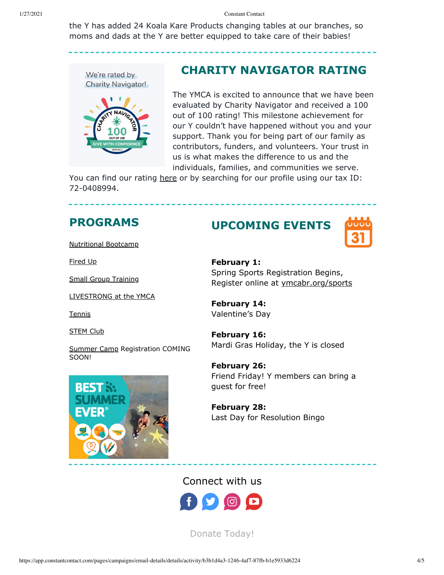the Y has added 24 Koala Kare Products changing tables at our branches, so moms and dads at the Y are better equipped to take care of their babies!



### **CHARITY NAVIGATOR RATING**

The YMCA is excited to announce that we have been evaluated by Charity Navigator and received a 100 out of 100 rating! This milestone achievement for our Y couldn't have happened without you and your support. Thank you for being part of our family as contributors, funders, and volunteers. Your trust in us is what makes the difference to us and the individuals, families, and communities we serve.

You can find our rating [here](https://www.charitynavigator.org/ein/720408994) or by searching for our profile using our tax ID: 72-0408994.

### **PROGRAMS**

[Nutritional Bootcamp](http://ymcabr.org/news/2020/11/06/6-week-nutritional-bootcamp)

[Fired Up](http://ymcabr.org/news/2020/11/13/fired-up!-the-intersection-of-enthusiasm-motivation)

[Small Group Training](http://ymcabr.org/news/2020/11/13/get-fit-small-group-training)

[LIVESTRONG at the YMCA](http://www.ymcabr.org/programs/health-wellness/livestrong)

**[Tennis](http://ymcabr.org/programs/tennis)** 

**[STEM Club](https://files.constantcontact.com/e81ae74e201/4e3a50f6-0d78-4588-b2ec-a04ff855fc49.pdf)** 

[Summer Camp](http://ymcabr.org/programs/youth-programs/camp/summer-camp) Registration COMING SOON!



# **UPCOMING EVENTS**



**February 1:** Spring Sports Registration Begins, Register online at [ymcabr.org/sports](http://ymcabr.org/sports)

**February 14:** Valentine's Day

**February 16:** Mardi Gras Holiday, the Y is closed

**February 26:** Friend Friday! Y members can bring a guest for free!

**February 28:** Last Day for Resolution Bingo

#### Connect with us



[Donate Today!](https://ycap762prodebiz.personifycloud.com/PersonifyEbusiness/Give-Now)